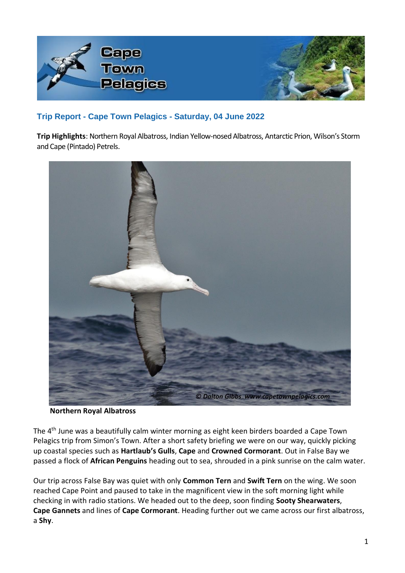

## **Trip Report - Cape Town Pelagics - Saturday, 04 June 2022**

**Trip Highlights**: Northern Royal Albatross, Indian Yellow-nosed Albatross, Antarctic Prion, Wilson's Storm and Cape (Pintado) Petrels.



**Northern Royal Albatross**

The 4th June was a beautifully calm winter morning as eight keen birders boarded a Cape Town Pelagics trip from Simon's Town. After a short safety briefing we were on our way, quickly picking up coastal species such as **Hartlaub's Gulls**, **Cape** and **Crowned Cormorant**. Out in False Bay we passed a flock of **African Penguins** heading out to sea, shrouded in a pink sunrise on the calm water.

Our trip across False Bay was quiet with only **Common Tern** and **Swift Tern** on the wing. We soon reached Cape Point and paused to take in the magnificent view in the soft morning light while checking in with radio stations. We headed out to the deep, soon finding **Sooty Shearwaters**, **Cape Gannets** and lines of **Cape Cormorant**. Heading further out we came across our first albatross, a **Shy**.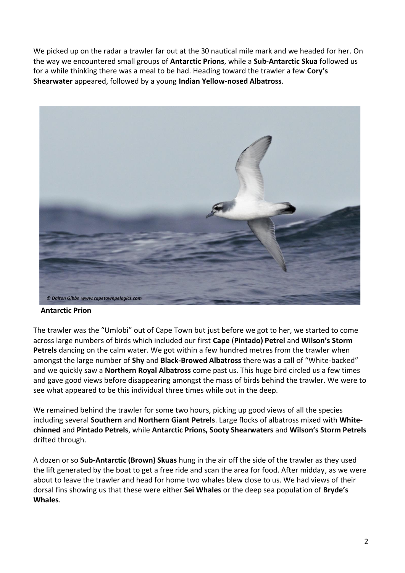We picked up on the radar a trawler far out at the 30 nautical mile mark and we headed for her. On the way we encountered small groups of **Antarctic Prions**, while a **Sub-Antarctic Skua** followed us for a while thinking there was a meal to be had. Heading toward the trawler a few **Cory's Shearwater** appeared, followed by a young **Indian Yellow-nosed Albatross**.



 **Antarctic Prion**

The trawler was the "Umlobi" out of Cape Town but just before we got to her, we started to come across large numbers of birds which included our first **Cape** (**Pintado) Petrel** and **Wilson's Storm Petrels** dancing on the calm water. We got within a few hundred metres from the trawler when amongst the large number of **Shy** and **Black-Browed Albatross** there was a call of "White-backed" and we quickly saw a **Northern Royal Albatross** come past us. This huge bird circled us a few times and gave good views before disappearing amongst the mass of birds behind the trawler. We were to see what appeared to be this individual three times while out in the deep.

We remained behind the trawler for some two hours, picking up good views of all the species including several **Southern** and **Northern Giant Petrels**. Large flocks of albatross mixed with **Whitechinned** and **Pintado Petrels**, while **Antarctic Prions, Sooty Shearwaters** and **Wilson's Storm Petrels** drifted through.

A dozen or so **Sub-Antarctic (Brown) Skuas** hung in the air off the side of the trawler as they used the lift generated by the boat to get a free ride and scan the area for food. After midday, as we were about to leave the trawler and head for home two whales blew close to us. We had views of their dorsal fins showing us that these were either **Sei Whales** or the deep sea population of **Bryde's Whales**.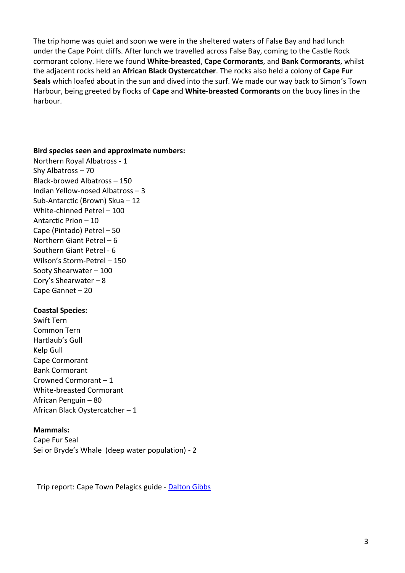The trip home was quiet and soon we were in the sheltered waters of False Bay and had lunch under the Cape Point cliffs. After lunch we travelled across False Bay, coming to the Castle Rock cormorant colony. Here we found **White-breasted**, **Cape Cormorants**, and **Bank Cormorants**, whilst the adjacent rocks held an **African Black Oystercatcher**. The rocks also held a colony of **Cape Fur Seals** which loafed about in the sun and dived into the surf. We made our way back to Simon's Town Harbour, being greeted by flocks of **Cape** and **White-breasted Cormorants** on the buoy lines in the harbour.

## **Bird species seen and approximate numbers:**

Northern Royal Albatross - 1 Shy Albatross – 70 Black-browed Albatross – 150 Indian Yellow-nosed Albatross – 3 Sub-Antarctic (Brown) Skua – 12 White-chinned Petrel – 100 Antarctic Prion – 10 Cape (Pintado) Petrel – 50 Northern Giant Petrel – 6 Southern Giant Petrel - 6 Wilson's Storm-Petrel – 150 Sooty Shearwater – 100 Cory's Shearwater – 8 Cape Gannet – 20

## **Coastal Species:**

Swift Tern Common Tern Hartlaub's Gull Kelp Gull Cape Cormorant Bank Cormorant Crowned Cormorant – 1 White-breasted Cormorant African Penguin – 80 African Black Oystercatcher – 1

## **Mammals:**

Cape Fur Seal Sei or Bryde's Whale (deep water population) - 2

Trip report: Cape Town Pelagics guide - [Dalton Gibbs](https://www.capetownpelagics.com/pelagics_about_who.htm#Dalton)